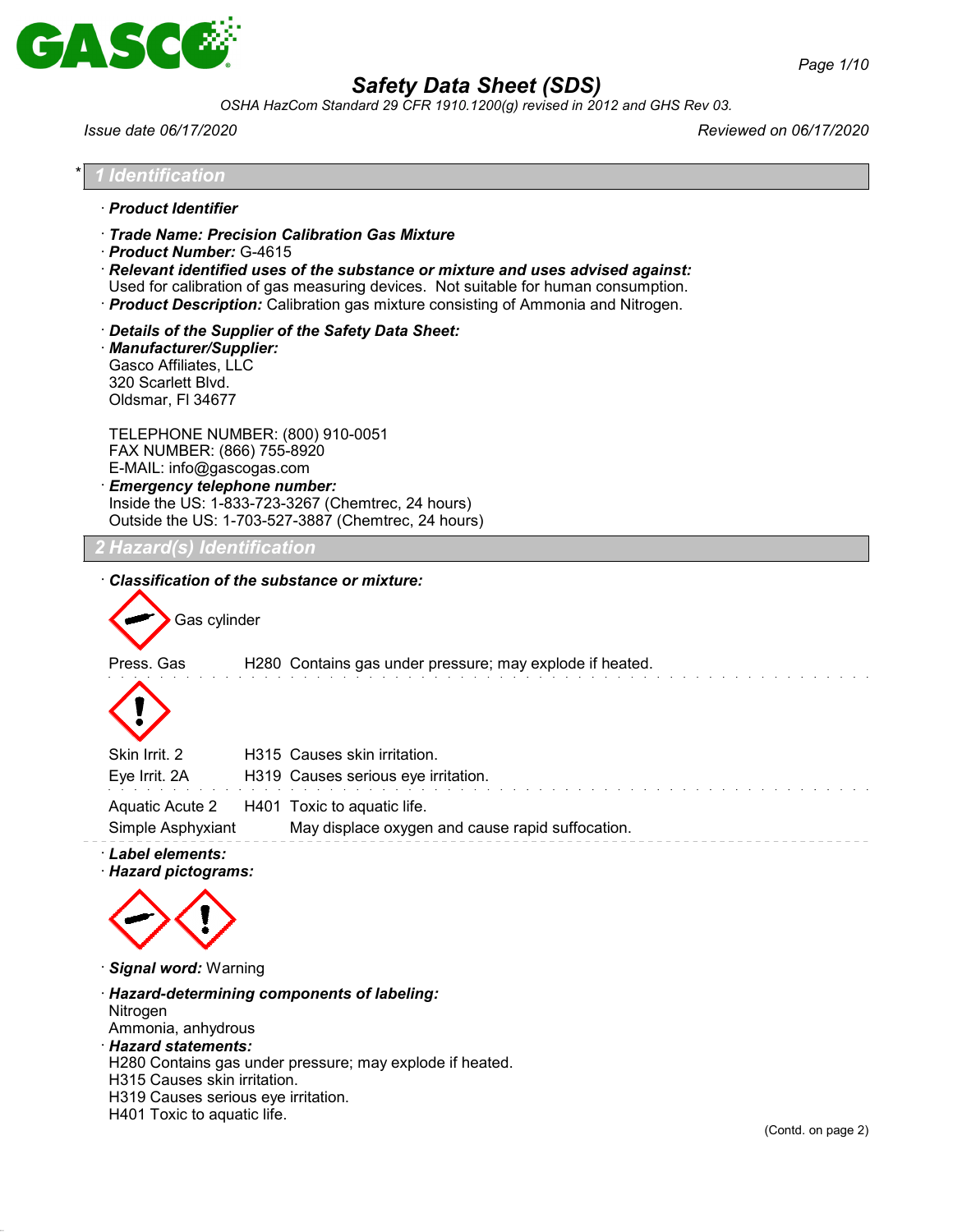

*OSHA HazCom Standard 29 CFR 1910.1200(g) revised in 2012 and GHS Rev 03.*

| · Product Identifier                                                                                                              |                                                                                                                                                                                                                                                                                                                     |  |
|-----------------------------------------------------------------------------------------------------------------------------------|---------------------------------------------------------------------------------------------------------------------------------------------------------------------------------------------------------------------------------------------------------------------------------------------------------------------|--|
| · Product Number: G-4615                                                                                                          | Trade Name: Precision Calibration Gas Mixture<br>$\cdot$ Relevant identified uses of the substance or mixture and uses advised against:<br>Used for calibration of gas measuring devices. Not suitable for human consumption.<br>· Product Description: Calibration gas mixture consisting of Ammonia and Nitrogen. |  |
| · Manufacturer/Supplier:<br>Gasco Affiliates, LLC<br>320 Scarlett Blvd.<br>Oldsmar, FI 34677                                      | Details of the Supplier of the Safety Data Sheet:                                                                                                                                                                                                                                                                   |  |
| TELEPHONE NUMBER: (800) 910-0051<br>FAX NUMBER: (866) 755-8920<br>E-MAIL: info@gascogas.com<br><b>Emergency telephone number:</b> | Inside the US: 1-833-723-3267 (Chemtrec, 24 hours)<br>Outside the US: 1-703-527-3887 (Chemtrec, 24 hours)                                                                                                                                                                                                           |  |
| 2 Hazard(s) Identification                                                                                                        |                                                                                                                                                                                                                                                                                                                     |  |
| Gas cylinder                                                                                                                      | Classification of the substance or mixture:<br>H280 Contains gas under pressure; may explode if heated.                                                                                                                                                                                                             |  |
| Press. Gas                                                                                                                        |                                                                                                                                                                                                                                                                                                                     |  |
| Skin Irrit. 2<br>Eye Irrit. 2A                                                                                                    | H315 Causes skin irritation.<br>H319 Causes serious eye irritation.                                                                                                                                                                                                                                                 |  |
|                                                                                                                                   |                                                                                                                                                                                                                                                                                                                     |  |

· *Signal word:* Warning

· *Hazard-determining components of labeling:* Nitrogen Ammonia, anhydrous · *Hazard statements:* H280 Contains gas under pressure; may explode if heated. H315 Causes skin irritation. H319 Causes serious eye irritation.

H401 Toxic to aquatic life.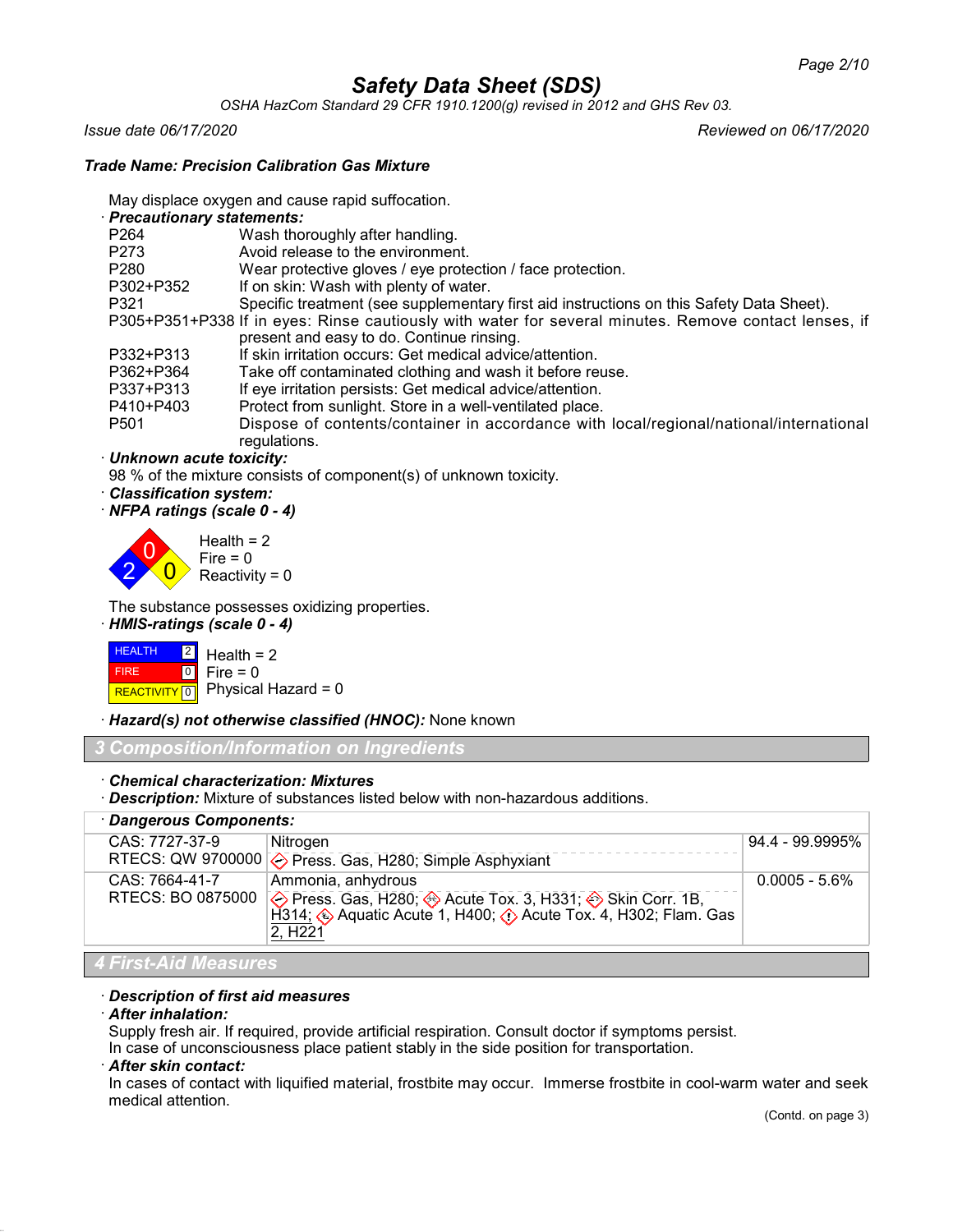*OSHA HazCom Standard 29 CFR 1910.1200(g) revised in 2012 and GHS Rev 03.*

*Issue date 06/17/2020 Reviewed on 06/17/2020*

### *Trade Name: Precision Calibration Gas Mixture*

May displace oxygen and cause rapid suffocation.

· *Precautionary statements:*

| P <sub>264</sub> | Wash thoroughly after handling.                                                                       |
|------------------|-------------------------------------------------------------------------------------------------------|
| P273             | Avoid release to the environment.                                                                     |
| P <sub>280</sub> | Wear protective gloves / eye protection / face protection.                                            |
| P302+P352        | If on skin: Wash with plenty of water.                                                                |
| P321             | Specific treatment (see supplementary first aid instructions on this Safety Data Sheet).              |
|                  | P305+P351+P338 If in eyes: Rinse cautiously with water for several minutes. Remove contact lenses, if |
|                  | present and easy to do. Continue rinsing.                                                             |
| P332+P313        | If skin irritation occurs: Get medical advice/attention.                                              |
| P362+P364        | Take off contaminated clothing and wash it before reuse.                                              |
| P337+P313        | If eye irritation persists: Get medical advice/attention.                                             |
| P410+P403        | Protect from sunlight. Store in a well-ventilated place.                                              |
| P <sub>501</sub> | Dispose of contents/container in accordance with local/regional/national/international                |
|                  | regulations.                                                                                          |

· *Unknown acute toxicity:*

98 % of the mixture consists of component(s) of unknown toxicity.

- · *Classification system:*
- · *NFPA ratings (scale 0 4)*

2  $\overline{0}$  $\overline{0}$  $Health = 2$  $Fire = 0$ Reactivity =  $0$ 

The substance possesses oxidizing properties.

· *HMIS-ratings (scale 0 - 4)*



· *Hazard(s) not otherwise classified (HNOC):* None known

*3 Composition/Information on Ingredients*

· *Chemical characterization: Mixtures*

· *Description:* Mixture of substances listed below with non-hazardous additions.

| · Dangerous Components: |                                                                                                                                                                                                                                                              |                  |
|-------------------------|--------------------------------------------------------------------------------------------------------------------------------------------------------------------------------------------------------------------------------------------------------------|------------------|
| CAS: 7727-37-9          | Nitrogen                                                                                                                                                                                                                                                     | 94.4 - 99.9995%  |
|                         | RTECS: QW 9700000 $\diamondsuit$ Press. Gas, H280; Simple Asphyxiant                                                                                                                                                                                         |                  |
| CAS: 7664-41-7          | Ammonia, anhydrous<br>RTECS: BO 0875000 $\diamondsuit$ Press. Gas, H280; $\diamondsuit$ Acute Tox. 3, H331; $\diamondsuit$ Skin Corr. 1B,<br>H314; $\diamondsuit$ Aquatic Acute 1, H400; $\diamondsuit$ Acute Tox. 4, H302; Flam. Gas<br>2, H <sub>221</sub> | $0.0005 - 5.6\%$ |
| l 4 First-Aid Measures  |                                                                                                                                                                                                                                                              |                  |

### · *Description of first aid measures*

#### · *After inhalation:*

Supply fresh air. If required, provide artificial respiration. Consult doctor if symptoms persist.

In case of unconsciousness place patient stably in the side position for transportation.

## · *After skin contact:*

In cases of contact with liquified material, frostbite may occur. Immerse frostbite in cool-warm water and seek medical attention.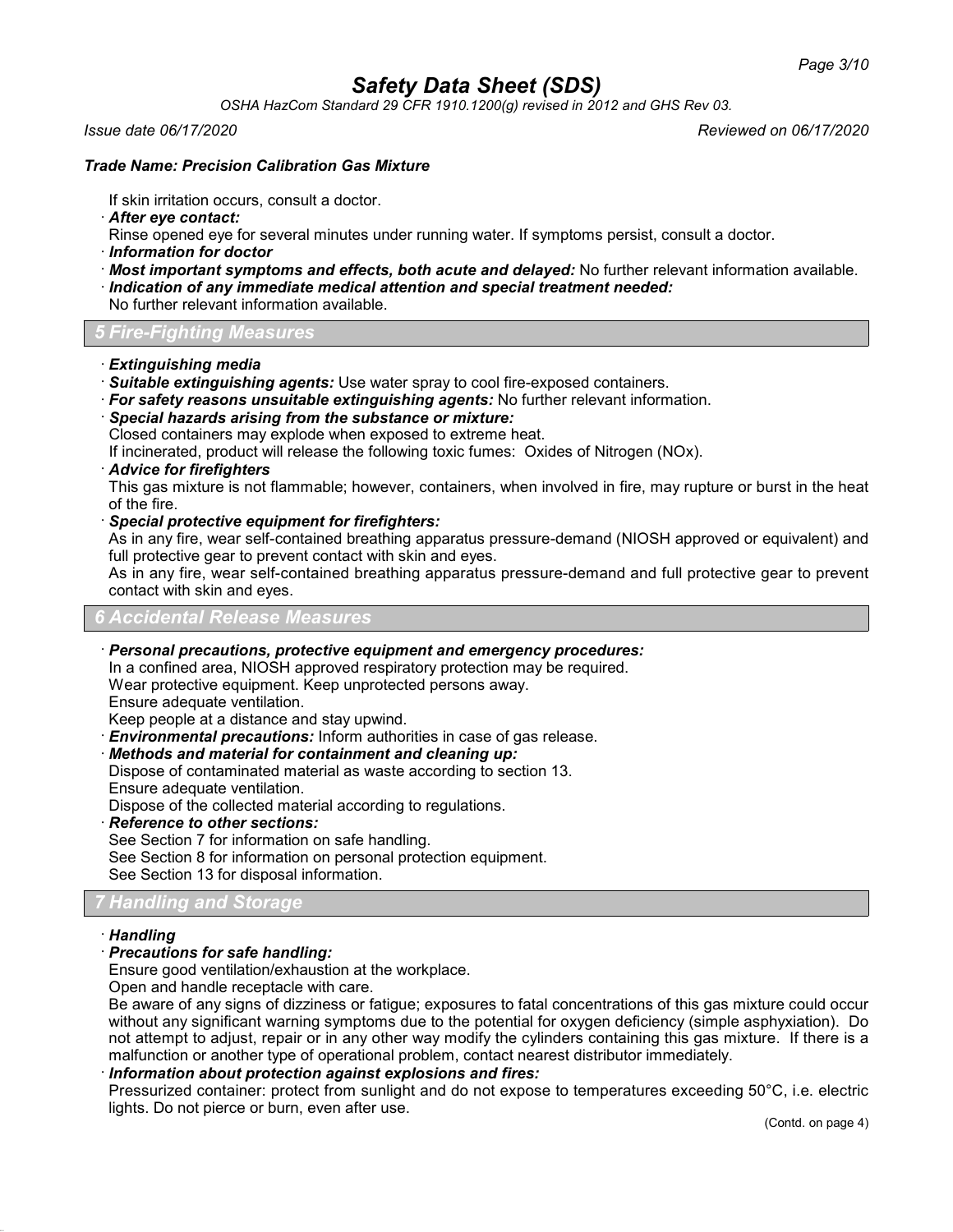*OSHA HazCom Standard 29 CFR 1910.1200(g) revised in 2012 and GHS Rev 03.*

#### *Issue date 06/17/2020 Reviewed on 06/17/2020*

### *Trade Name: Precision Calibration Gas Mixture*

If skin irritation occurs, consult a doctor.

· *After eye contact:*

Rinse opened eye for several minutes under running water. If symptoms persist, consult a doctor.

- · *Information for doctor*
- · *Most important symptoms and effects, both acute and delayed:* No further relevant information available.
- · *Indication of any immediate medical attention and special treatment needed:*

No further relevant information available.

*5 Fire-Fighting Measures*

- · *Extinguishing media*
- · *Suitable extinguishing agents:* Use water spray to cool fire-exposed containers.
- · *For safety reasons unsuitable extinguishing agents:* No further relevant information.
- · *Special hazards arising from the substance or mixture:*

Closed containers may explode when exposed to extreme heat.

If incinerated, product will release the following toxic fumes: Oxides of Nitrogen (NOx).

· *Advice for firefighters*

This gas mixture is not flammable; however, containers, when involved in fire, may rupture or burst in the heat of the fire.

· *Special protective equipment for firefighters:*

As in any fire, wear self-contained breathing apparatus pressure-demand (NIOSH approved or equivalent) and full protective gear to prevent contact with skin and eyes.

As in any fire, wear self-contained breathing apparatus pressure-demand and full protective gear to prevent contact with skin and eyes.

### *6 Accidental Release Measures*

· *Personal precautions, protective equipment and emergency procedures:*

In a confined area, NIOSH approved respiratory protection may be required. Wear protective equipment. Keep unprotected persons away.

Ensure adequate ventilation.

Keep people at a distance and stay upwind.

· *Environmental precautions:* Inform authorities in case of gas release.

### · *Methods and material for containment and cleaning up:*

Dispose of contaminated material as waste according to section 13. Ensure adequate ventilation.

Dispose of the collected material according to regulations.

· *Reference to other sections:*

See Section 7 for information on safe handling.

See Section 8 for information on personal protection equipment.

See Section 13 for disposal information.

## *7 Handling and Storage*

### · *Handling*

· *Precautions for safe handling:*

Ensure good ventilation/exhaustion at the workplace.

Open and handle receptacle with care.

Be aware of any signs of dizziness or fatigue; exposures to fatal concentrations of this gas mixture could occur without any significant warning symptoms due to the potential for oxygen deficiency (simple asphyxiation). Do not attempt to adjust, repair or in any other way modify the cylinders containing this gas mixture. If there is a malfunction or another type of operational problem, contact nearest distributor immediately.

### · *Information about protection against explosions and fires:*

Pressurized container: protect from sunlight and do not expose to temperatures exceeding 50°C, i.e. electric lights. Do not pierce or burn, even after use.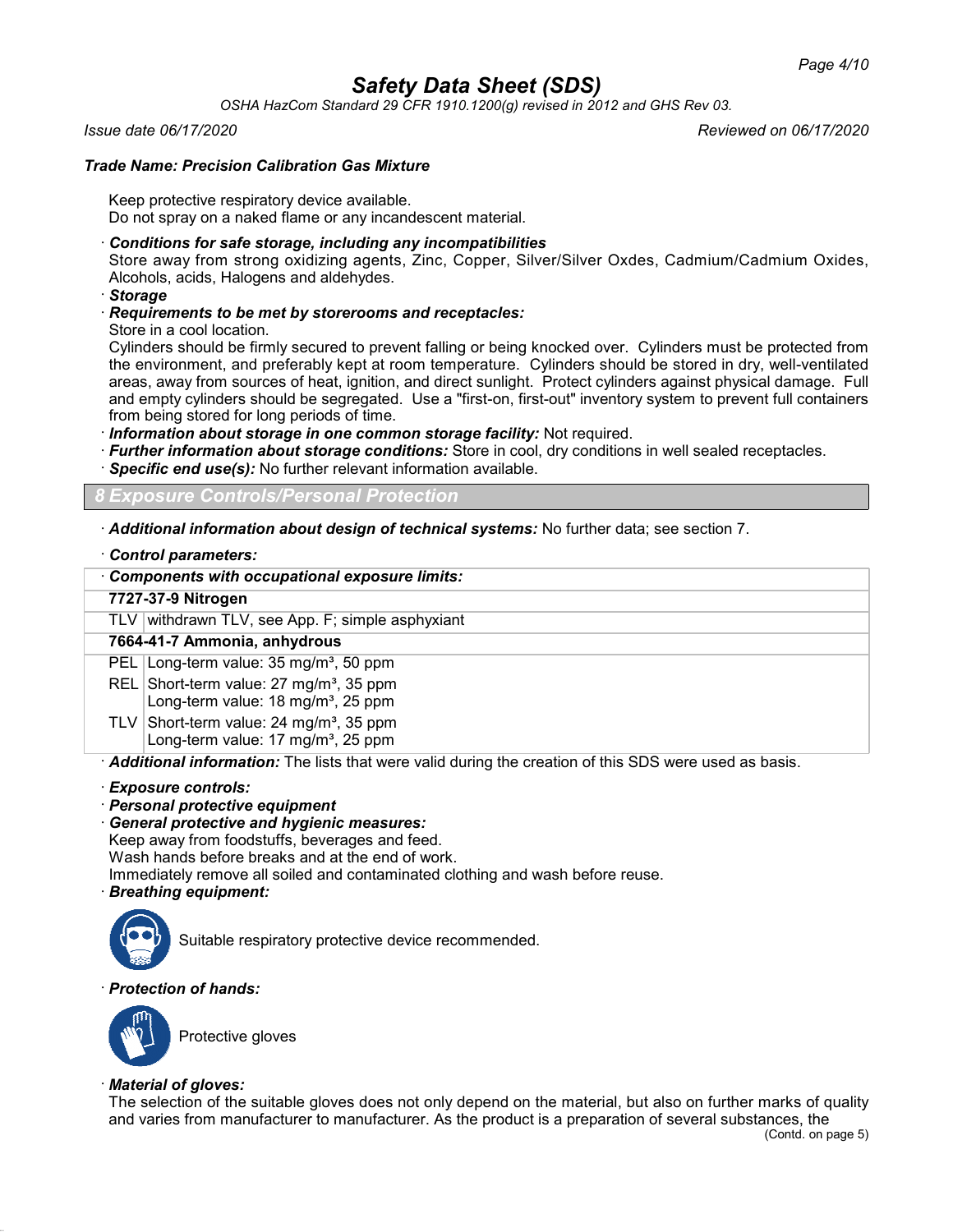*OSHA HazCom Standard 29 CFR 1910.1200(g) revised in 2012 and GHS Rev 03.*

### *Issue date 06/17/2020 Reviewed on 06/17/2020*

### *Trade Name: Precision Calibration Gas Mixture*

Keep protective respiratory device available. Do not spray on a naked flame or any incandescent material.

## · *Conditions for safe storage, including any incompatibilities*

Store away from strong oxidizing agents, Zinc, Copper, Silver/Silver Oxdes, Cadmium/Cadmium Oxides, Alcohols, acids, Halogens and aldehydes.

· *Storage*

· *Requirements to be met by storerooms and receptacles:*

Store in a cool location.

Cylinders should be firmly secured to prevent falling or being knocked over. Cylinders must be protected from the environment, and preferably kept at room temperature. Cylinders should be stored in dry, well-ventilated areas, away from sources of heat, ignition, and direct sunlight. Protect cylinders against physical damage. Full and empty cylinders should be segregated. Use a "first-on, first-out" inventory system to prevent full containers from being stored for long periods of time.

- · *Information about storage in one common storage facility:* Not required.
- · *Further information about storage conditions:* Store in cool, dry conditions in well sealed receptacles.
- · *Specific end use(s):* No further relevant information available.

*8 Exposure Controls/Personal Protection*

· *Additional information about design of technical systems:* No further data; see section 7.

### · *Control parameters:*

| Components with occupational exposure limits:                                                         |
|-------------------------------------------------------------------------------------------------------|
| 7727-37-9 Nitrogen                                                                                    |
| TLV withdrawn TLV, see App. F; simple asphyxiant                                                      |
| 7664-41-7 Ammonia, anhydrous                                                                          |
| PEL Long-term value: 35 mg/m <sup>3</sup> , 50 ppm                                                    |
| REL Short-term value: 27 mg/m <sup>3</sup> , 35 ppm<br>Long-term value: 18 mg/m <sup>3</sup> , 25 ppm |
| TLV Short-term value: $24 \text{ mg/m}^3$ , 35 ppm<br>Long-term value: 17 mg/m <sup>3</sup> , 25 ppm  |
| Additional information: The lists that were valid during the creation of this SDS were used as basis. |

#### · *Exposure controls:*

- · *Personal protective equipment*
- · *General protective and hygienic measures:*

Keep away from foodstuffs, beverages and feed. Wash hands before breaks and at the end of work.

Immediately remove all soiled and contaminated clothing and wash before reuse.

## · *Breathing equipment:*



Suitable respiratory protective device recommended.

## · *Protection of hands:*



Protective gloves

### · *Material of gloves:*

The selection of the suitable gloves does not only depend on the material, but also on further marks of quality and varies from manufacturer to manufacturer. As the product is a preparation of several substances, the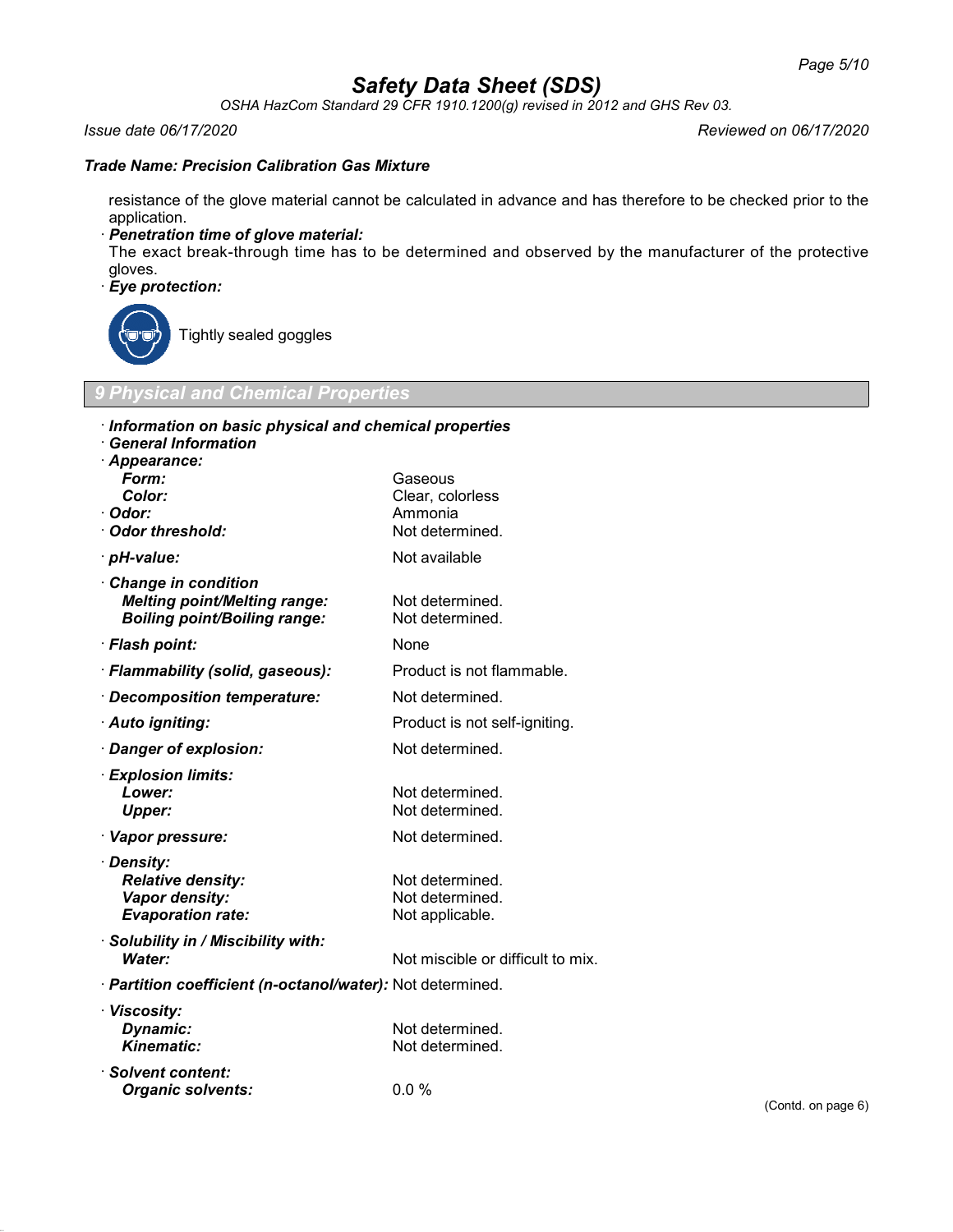*OSHA HazCom Standard 29 CFR 1910.1200(g) revised in 2012 and GHS Rev 03.*

#### *Issue date 06/17/2020 Reviewed on 06/17/2020*

#### *Trade Name: Precision Calibration Gas Mixture*

resistance of the glove material cannot be calculated in advance and has therefore to be checked prior to the application.

· *Penetration time of glove material:*

The exact break-through time has to be determined and observed by the manufacturer of the protective gloves.

## · *Eye protection:*



Tightly sealed goggles

## *9 Physical and Chemical Properties*

| Information on basic physical and chemical properties      |                                   |     |
|------------------------------------------------------------|-----------------------------------|-----|
| <b>General Information</b>                                 |                                   |     |
| · Appearance:<br>Form:                                     | Gaseous                           |     |
| Color:                                                     | Clear, colorless                  |     |
| · Odor:                                                    | Ammonia                           |     |
| Odor threshold:                                            | Not determined.                   |     |
|                                                            |                                   |     |
| · <i>pH-value:</i>                                         | Not available                     |     |
| Change in condition                                        |                                   |     |
| <b>Melting point/Melting range:</b>                        | Not determined.                   |     |
| <b>Boiling point/Boiling range:</b>                        | Not determined.                   |     |
| · Flash point:                                             | None                              |     |
| · Flammability (solid, gaseous):                           | Product is not flammable.         |     |
| Decomposition temperature:                                 | Not determined.                   |     |
| · Auto igniting:                                           | Product is not self-igniting.     |     |
| · Danger of explosion:                                     | Not determined.                   |     |
| · Explosion limits:                                        |                                   |     |
| Lower:                                                     | Not determined.                   |     |
| <b>Upper:</b>                                              | Not determined.                   |     |
| · Vapor pressure:                                          | Not determined.                   |     |
| · Density:                                                 |                                   |     |
| <b>Relative density:</b>                                   | Not determined.                   |     |
| Vapor density:                                             | Not determined.                   |     |
| <b>Evaporation rate:</b>                                   | Not applicable.                   |     |
| · Solubility in / Miscibility with:                        |                                   |     |
| <b>Water:</b>                                              | Not miscible or difficult to mix. |     |
| · Partition coefficient (n-octanol/water): Not determined. |                                   |     |
| · Viscosity:                                               |                                   |     |
| Dynamic:                                                   | Not determined.                   |     |
| <b>Kinematic:</b>                                          | Not determined.                   |     |
| · Solvent content:                                         |                                   |     |
| <b>Organic solvents:</b>                                   | 0.0%                              |     |
|                                                            |                                   | (C) |
|                                                            |                                   |     |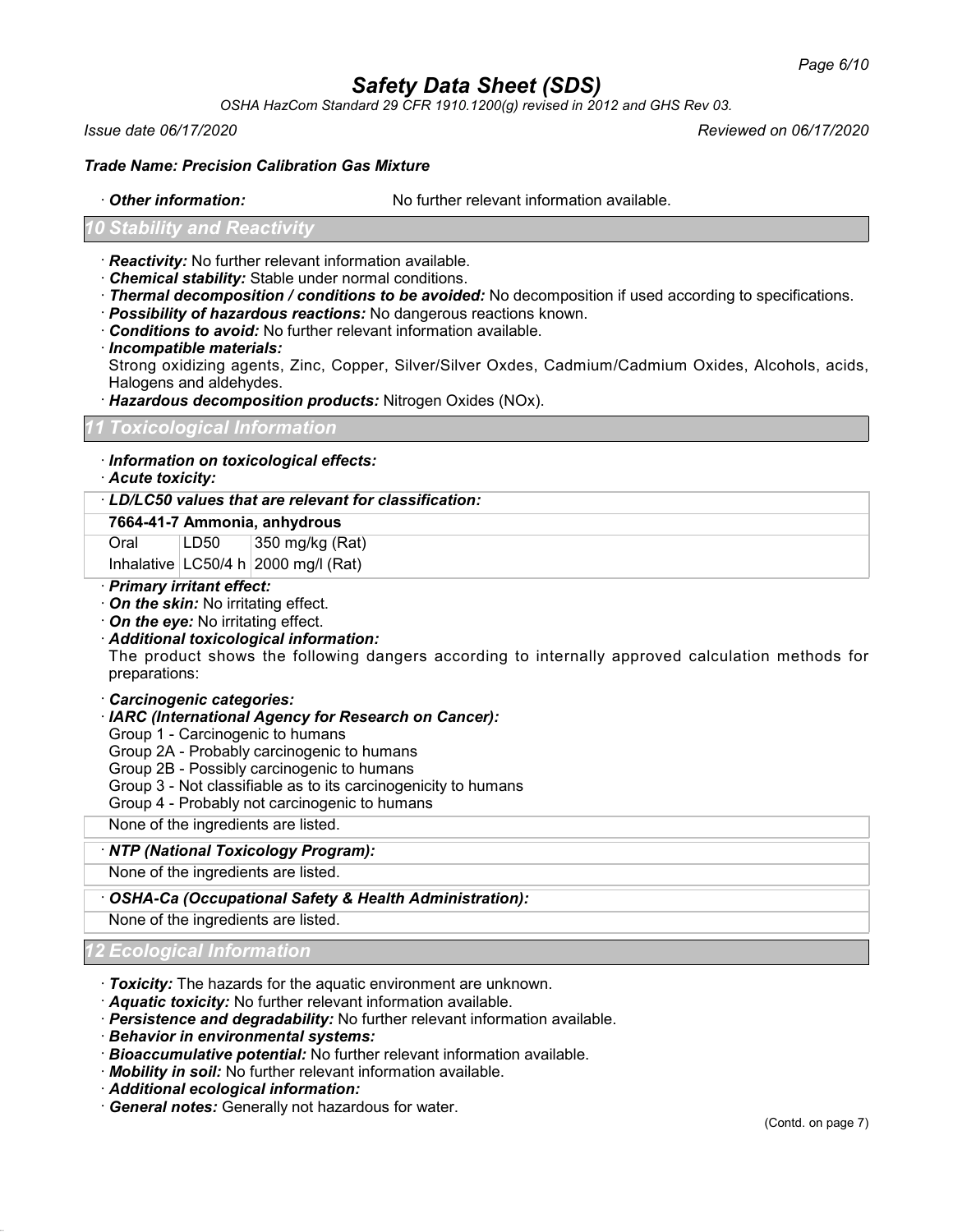*OSHA HazCom Standard 29 CFR 1910.1200(g) revised in 2012 and GHS Rev 03.*

*Issue date 06/17/2020 Reviewed on 06/17/2020*

#### *Trade Name: Precision Calibration Gas Mixture*

· *Other information:* No further relevant information available.

#### *Stability and Reactivit*

- · *Reactivity:* No further relevant information available.
- · *Chemical stability:* Stable under normal conditions.
- · *Thermal decomposition / conditions to be avoided:* No decomposition if used according to specifications.
- · *Possibility of hazardous reactions:* No dangerous reactions known.
- · *Conditions to avoid:* No further relevant information available.
- · *Incompatible materials:*

Strong oxidizing agents, Zinc, Copper, Silver/Silver Oxdes, Cadmium/Cadmium Oxides, Alcohols, acids, Halogens and aldehydes.

· *Hazardous decomposition products:* Nitrogen Oxides (NOx).

### *11 Toxicological Information*

## · *Information on toxicological effects:*

· *Acute toxicity:*

· *LD/LC50 values that are relevant for classification:*

#### **7664-41-7 Ammonia, anhydrous**

Oral  $|LD50|$  350 mg/kg (Rat)

Inhalative  $|LG50/4 h|2000$  mg/l (Rat)

- · *Primary irritant effect:*
- · *On the skin:* No irritating effect.
- · *On the eye:* No irritating effect.
- · *Additional toxicological information:*

The product shows the following dangers according to internally approved calculation methods for preparations:

#### · *Carcinogenic categories:*

- · *IARC (International Agency for Research on Cancer):*
- Group 1 Carcinogenic to humans
- Group 2A Probably carcinogenic to humans
- Group 2B Possibly carcinogenic to humans
- Group 3 Not classifiable as to its carcinogenicity to humans
- Group 4 Probably not carcinogenic to humans

None of the ingredients are listed.

#### · *NTP (National Toxicology Program):*

None of the ingredients are listed.

### · *OSHA-Ca (Occupational Safety & Health Administration):*

None of the ingredients are listed.

### *12 Ecological Information*

- · *Toxicity:* The hazards for the aquatic environment are unknown.
- · *Aquatic toxicity:* No further relevant information available.
- · *Persistence and degradability:* No further relevant information available.
- · *Behavior in environmental systems:*
- · *Bioaccumulative potential:* No further relevant information available.
- · *Mobility in soil:* No further relevant information available.
- · *Additional ecological information:*
- · *General notes:* Generally not hazardous for water.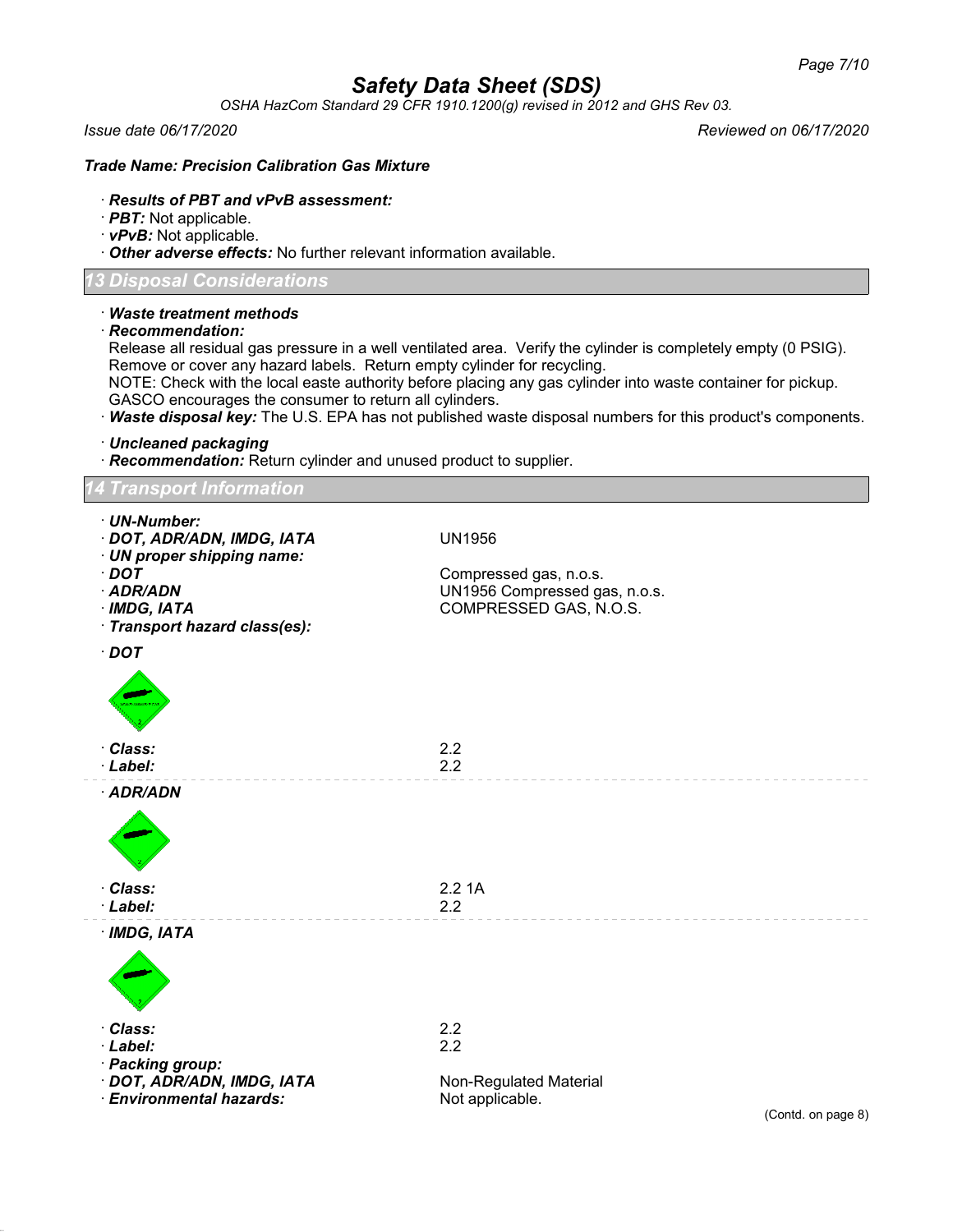*OSHA HazCom Standard 29 CFR 1910.1200(g) revised in 2012 and GHS Rev 03.*

*Issue date 06/17/2020 Reviewed on 06/17/2020*

## *Trade Name: Precision Calibration Gas Mixture*

## · *Results of PBT and vPvB assessment:*

- · *PBT:* Not applicable.
- · *vPvB:* Not applicable.

· *Other adverse effects:* No further relevant information available.

## *13 Disposal Considerations*

| Disposal Considerations                                                                                                                                                                         |                                                                                                                                                                                                                                                                                                                                             |
|-------------------------------------------------------------------------------------------------------------------------------------------------------------------------------------------------|---------------------------------------------------------------------------------------------------------------------------------------------------------------------------------------------------------------------------------------------------------------------------------------------------------------------------------------------|
| $\cdot$ Waste treatment methods<br>$\cdot$ Recommendation:<br>Remove or cover any hazard labels. Return empty cylinder for recycling.<br>GASCO encourages the consumer to return all cylinders. | Release all residual gas pressure in a well ventilated area. Verify the cylinder is completely empty (0 PSIG).<br>NOTE: Check with the local easte authority before placing any gas cylinder into waste container for pickup.<br>· Waste disposal key: The U.S. EPA has not published waste disposal numbers for this product's components. |
| · Uncleaned packaging<br>· Recommendation: Return cylinder and unused product to supplier.                                                                                                      |                                                                                                                                                                                                                                                                                                                                             |
| <b>Transport Information</b>                                                                                                                                                                    |                                                                                                                                                                                                                                                                                                                                             |
| · UN-Number:<br>· DOT, ADR/ADN, IMDG, IATA<br>· UN proper shipping name:<br>$\cdot$ DOT                                                                                                         | UN1956<br>Compressed gas, n.o.s.                                                                                                                                                                                                                                                                                                            |
| · ADR/ADN<br>· IMDG, IATA<br>· Transport hazard class(es):                                                                                                                                      | UN1956 Compressed gas, n.o.s.<br>COMPRESSED GAS, N.O.S.                                                                                                                                                                                                                                                                                     |
| $\cdot$ DOT                                                                                                                                                                                     |                                                                                                                                                                                                                                                                                                                                             |
|                                                                                                                                                                                                 |                                                                                                                                                                                                                                                                                                                                             |
| · Class:<br>· Label:                                                                                                                                                                            | 2.2<br>2.2                                                                                                                                                                                                                                                                                                                                  |
| · ADR/ADN                                                                                                                                                                                       |                                                                                                                                                                                                                                                                                                                                             |
|                                                                                                                                                                                                 |                                                                                                                                                                                                                                                                                                                                             |
| Class:<br>· Label:                                                                                                                                                                              | 2.21A<br>2.2                                                                                                                                                                                                                                                                                                                                |
| $·$ IMDG, IATA                                                                                                                                                                                  |                                                                                                                                                                                                                                                                                                                                             |
|                                                                                                                                                                                                 |                                                                                                                                                                                                                                                                                                                                             |
| · Class:<br>· Label:<br>· Packing group:                                                                                                                                                        | 2.2<br>2.2                                                                                                                                                                                                                                                                                                                                  |
| · DOT, ADR/ADN, IMDG, IATA                                                                                                                                                                      | Non-Regulated Material                                                                                                                                                                                                                                                                                                                      |

· *Environmental hazards:* Not applicable.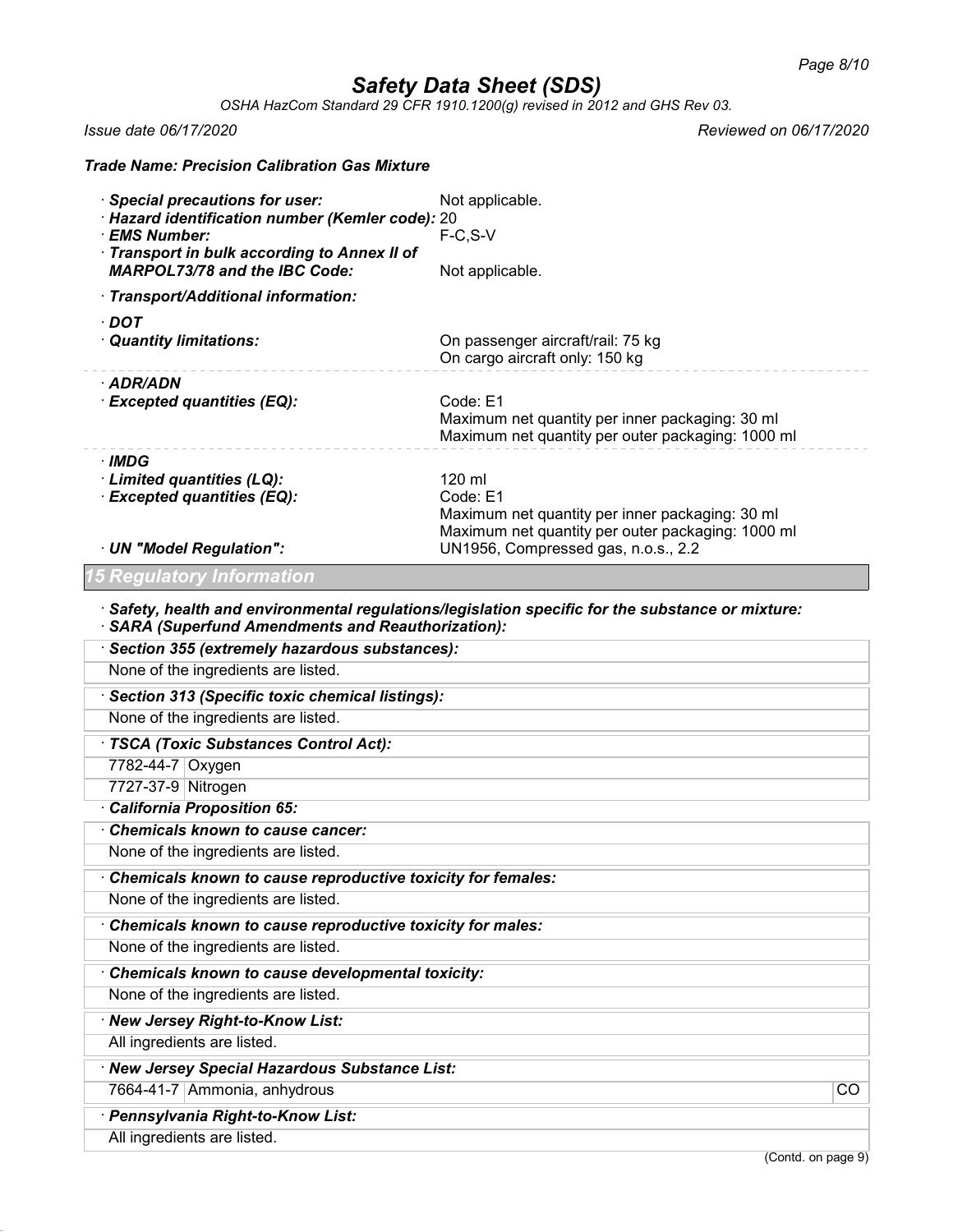*OSHA HazCom Standard 29 CFR 1910.1200(g) revised in 2012 and GHS Rev 03.*

*Issue date 06/17/2020 Reviewed on 06/17/2020*

| <b>Trade Name: Precision Calibration Gas Mixture</b>          |                                                                                                         |                 |
|---------------------------------------------------------------|---------------------------------------------------------------------------------------------------------|-----------------|
| <b>Special precautions for user:</b>                          | Not applicable.                                                                                         |                 |
| · Hazard identification number (Kemler code): 20              |                                                                                                         |                 |
| · EMS Number:<br>· Transport in bulk according to Annex II of | $F-C, S-V$                                                                                              |                 |
| <b>MARPOL73/78 and the IBC Code:</b>                          | Not applicable.                                                                                         |                 |
| · Transport/Additional information:                           |                                                                                                         |                 |
| $\cdot$ DOT                                                   |                                                                                                         |                 |
| · Quantity limitations:                                       | On passenger aircraft/rail: 75 kg<br>On cargo aircraft only: 150 kg                                     |                 |
| · ADR/ADN                                                     |                                                                                                         |                 |
| · Excepted quantities (EQ):                                   | Code: E1                                                                                                |                 |
|                                                               | Maximum net quantity per inner packaging: 30 ml<br>Maximum net quantity per outer packaging: 1000 ml    |                 |
| · IMDG                                                        |                                                                                                         |                 |
| · Limited quantities (LQ):                                    | 120 ml                                                                                                  |                 |
| · Excepted quantities (EQ):                                   | Code: E1                                                                                                |                 |
|                                                               | Maximum net quantity per inner packaging: 30 ml                                                         |                 |
| · UN "Model Regulation":                                      | Maximum net quantity per outer packaging: 1000 ml<br>UN1956, Compressed gas, n.o.s., 2.2                |                 |
| <b>15 Regulatory Information</b>                              |                                                                                                         |                 |
|                                                               |                                                                                                         |                 |
| · SARA (Superfund Amendments and Reauthorization):            | $\cdot$ Safety, health and environmental regulations/legislation specific for the substance or mixture: |                 |
| · Section 355 (extremely hazardous substances):               |                                                                                                         |                 |
| None of the ingredients are listed.                           |                                                                                                         |                 |
| · Section 313 (Specific toxic chemical listings):             |                                                                                                         |                 |
| None of the ingredients are listed.                           |                                                                                                         |                 |
| · TSCA (Toxic Substances Control Act):                        |                                                                                                         |                 |
| 7782-44-7 Oxygen                                              |                                                                                                         |                 |
| 7727-37-9 Nitrogen                                            |                                                                                                         |                 |
| · California Proposition 65:                                  |                                                                                                         |                 |
| <b>Chemicals known to cause cancer:</b>                       |                                                                                                         |                 |
| None of the ingredients are listed                            |                                                                                                         |                 |
| Chemicals known to cause reproductive toxicity for females:   |                                                                                                         |                 |
| None of the ingredients are listed.                           |                                                                                                         |                 |
| Chemicals known to cause reproductive toxicity for males:     |                                                                                                         |                 |
| None of the ingredients are listed.                           |                                                                                                         |                 |
| Chemicals known to cause developmental toxicity:              |                                                                                                         |                 |
| None of the ingredients are listed.                           |                                                                                                         |                 |
| · New Jersey Right-to-Know List:                              |                                                                                                         |                 |
| All ingredients are listed.                                   |                                                                                                         |                 |
| · New Jersey Special Hazardous Substance List:                |                                                                                                         |                 |
| 7664-41-7 Ammonia, anhydrous                                  |                                                                                                         | $\overline{CO}$ |
| · Pennsylvania Right-to-Know List:                            |                                                                                                         |                 |
| All ingredients are listed.                                   |                                                                                                         |                 |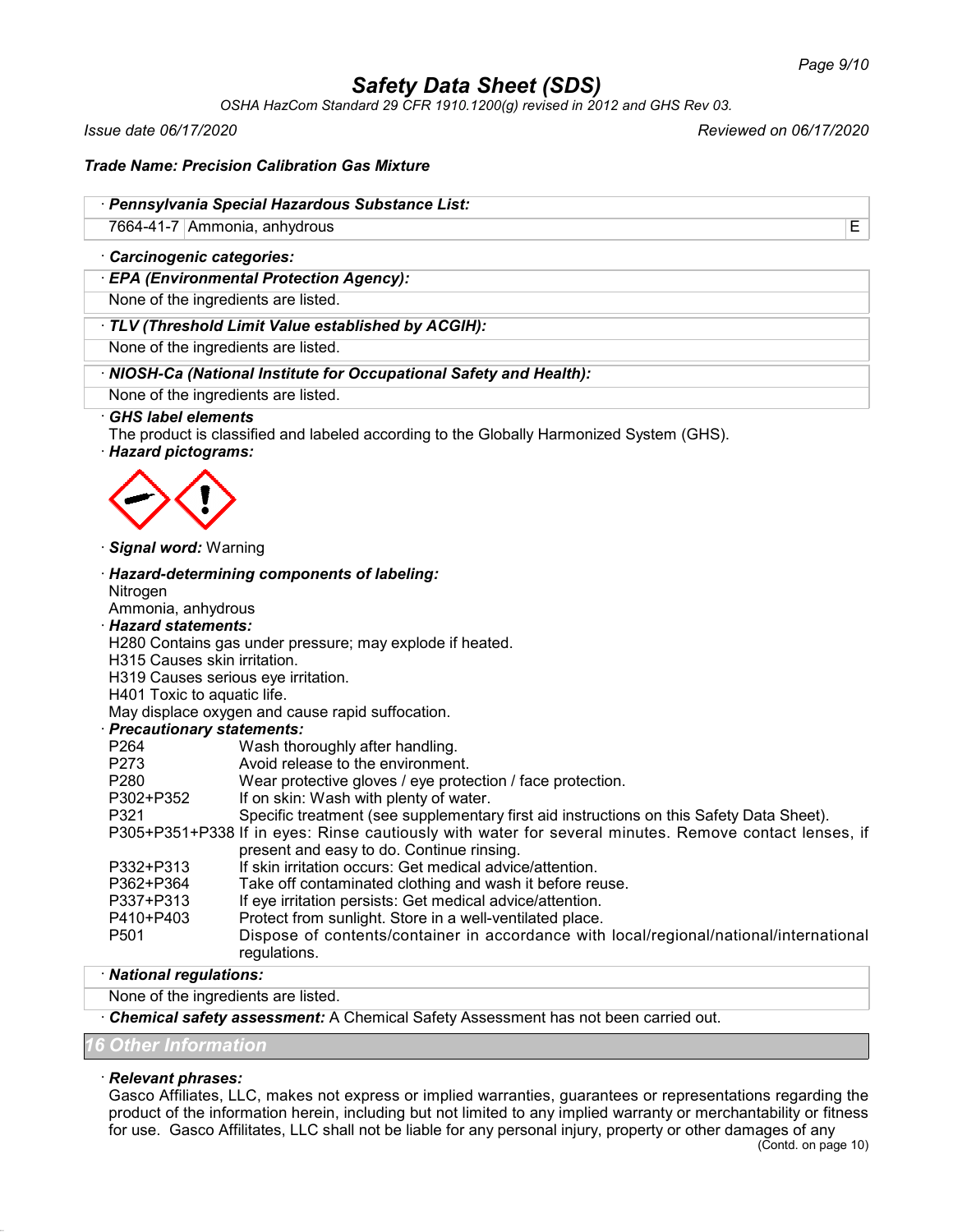*OSHA HazCom Standard 29 CFR 1910.1200(g) revised in 2012 and GHS Rev 03.*

*Issue date 06/17/2020 Reviewed on 06/17/2020*

### *Trade Name: Precision Calibration Gas Mixture*

### · *Pennsylvania Special Hazardous Substance List:*

7664-41-7 Ammonia, anhydrous E

### · *Carcinogenic categories:*

· *EPA (Environmental Protection Agency):*

None of the ingredients are listed.

· *TLV (Threshold Limit Value established by ACGIH):*

None of the ingredients are listed.

#### · *NIOSH-Ca (National Institute for Occupational Safety and Health):*

None of the ingredients are listed.

#### · *GHS label elements*

The product is classified and labeled according to the Globally Harmonized System (GHS).

· *Hazard pictograms:*



#### · *Signal word:* Warning

· *Hazard-determining components of labeling:* Nitrogen Ammonia, anhydrous

## · *Hazard statements:*

H280 Contains gas under pressure; may explode if heated.

H315 Causes skin irritation.

H319 Causes serious eye irritation.

#### H401 Toxic to aquatic life.

May displace oxygen and cause rapid suffocation.

### · *Precautionary statements:*

| P264             | Wash thoroughly after handling.                                                                       |
|------------------|-------------------------------------------------------------------------------------------------------|
| P273             | Avoid release to the environment.                                                                     |
| P280             | Wear protective gloves / eye protection / face protection.                                            |
| P302+P352        | If on skin: Wash with plenty of water.                                                                |
| P321             | Specific treatment (see supplementary first aid instructions on this Safety Data Sheet).              |
|                  | P305+P351+P338 If in eyes: Rinse cautiously with water for several minutes. Remove contact lenses, if |
|                  | present and easy to do. Continue rinsing.                                                             |
| P332+P313        | If skin irritation occurs: Get medical advice/attention.                                              |
| P362+P364        | Take off contaminated clothing and wash it before reuse.                                              |
| P337+P313        | If eye irritation persists: Get medical advice/attention.                                             |
| P410+P403        | Protect from sunlight. Store in a well-ventilated place.                                              |
| P <sub>501</sub> | Dispose of contents/container in accordance with local/regional/national/international                |
|                  | regulations.                                                                                          |
|                  |                                                                                                       |

## · *National regulations:*

None of the ingredients are listed.

· *Chemical safety assessment:* A Chemical Safety Assessment has not been carried out.

*16 Other Information*

### · *Relevant phrases:*

Gasco Affiliates, LLC, makes not express or implied warranties, guarantees or representations regarding the product of the information herein, including but not limited to any implied warranty or merchantability or fitness for use. Gasco Affilitates, LLC shall not be liable for any personal injury, property or other damages of any